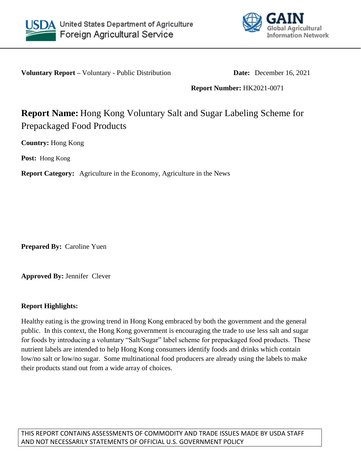



**Voluntary Report –** Voluntary - Public Distribution **Date:** December 16, 2021

**Report Number:** HK2021-0071

# **Report Name:** Hong Kong Voluntary Salt and Sugar Labeling Scheme for Prepackaged Food Products

**Country:** Hong Kong

**Post:** Hong Kong

**Report Category:** Agriculture in the Economy, Agriculture in the News

**Prepared By:** Caroline Yuen

**Approved By:** Jennifer Clever

## **Report Highlights:**

Healthy eating is the growing trend in Hong Kong embraced by both the government and the general public. In this context, the Hong Kong government is encouraging the trade to use less salt and sugar for foods by introducing a voluntary "Salt/Sugar" label scheme for prepackaged food products. These nutrient labels are intended to help Hong Kong consumers identify foods and drinks which contain low/no salt or low/no sugar. Some multinational food producers are already using the labels to make their products stand out from a wide array of choices.

THIS REPORT CONTAINS ASSESSMENTS OF COMMODITY AND TRADE ISSUES MADE BY USDA STAFF AND NOT NECESSARILY STATEMENTS OF OFFICIAL U.S. GOVERNMENT POLICY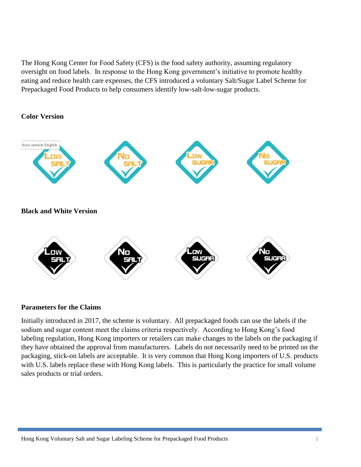The Hong Kong Center for Food Safety (CFS) is the food safety authority, assuming regulatory oversight on food labels. In response to the Hong Kong government's initiative to promote healthy eating and reduce health care expenses, the CFS introduced a voluntary Salt/Sugar Label Scheme for Prepackaged Food Products to help consumers identify low-salt-low-sugar products.

**Color Version**



### **Parameters for the Claims**

Initially introduced in 2017, the scheme is voluntary. All prepackaged foods can use the labels if the sodium and sugar content meet the claims criteria respectively. According to Hong Kong's food labeling regulation, Hong Kong importers or retailers can make changes to the labels on the packaging if they have obtained the approval from manufacturers. Labels do not necessarily need to be printed on the packaging, stick-on labels are acceptable. It is very common that Hong Kong importers of U.S. products with U.S. labels replace these with Hong Kong labels. This is particularly the practice for small volume sales products or trial orders.